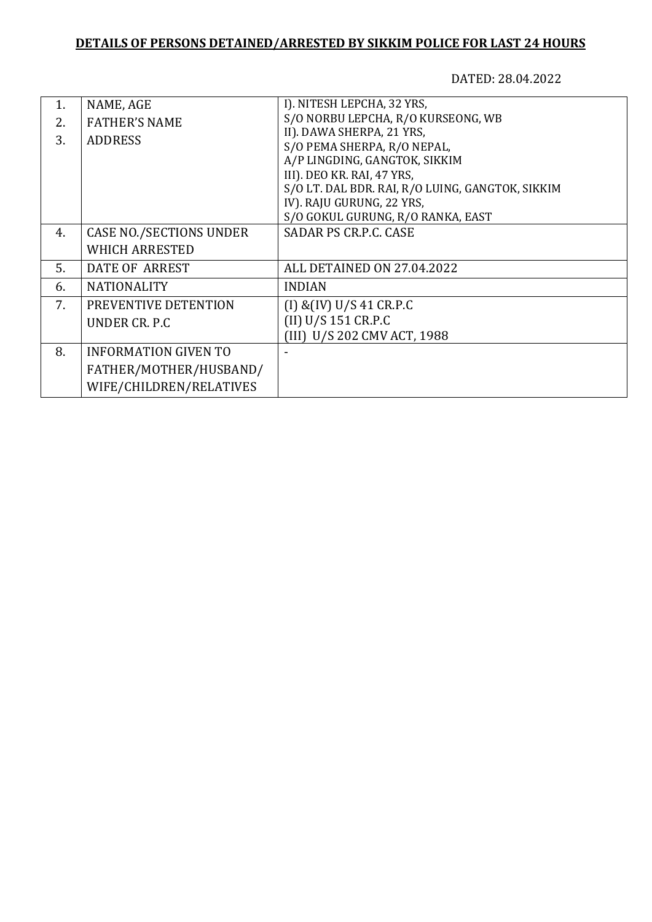## **DETAILS OF PERSONS DETAINED/ARRESTED BY SIKKIM POLICE FOR LAST 24 HOURS**

DATED: 28.04.2022

| 1. | NAME, AGE                      | I). NITESH LEPCHA, 32 YRS,                       |
|----|--------------------------------|--------------------------------------------------|
| 2. | <b>FATHER'S NAME</b>           | S/O NORBU LEPCHA, R/O KURSEONG, WB               |
| 3. | <b>ADDRESS</b>                 | II). DAWA SHERPA, 21 YRS,                        |
|    |                                | S/O PEMA SHERPA, R/O NEPAL,                      |
|    |                                | A/P LINGDING, GANGTOK, SIKKIM                    |
|    |                                | III). DEO KR. RAI, 47 YRS,                       |
|    |                                | S/O LT. DAL BDR. RAI, R/O LUING, GANGTOK, SIKKIM |
|    |                                | IV). RAJU GURUNG, 22 YRS,                        |
|    |                                | S/O GOKUL GURUNG, R/O RANKA, EAST                |
| 4. | <b>CASE NO./SECTIONS UNDER</b> | SADAR PS CR.P.C. CASE                            |
|    | <b>WHICH ARRESTED</b>          |                                                  |
| 5. | DATE OF ARREST                 | ALL DETAINED ON 27.04.2022                       |
| 6. | <b>NATIONALITY</b>             | <b>INDIAN</b>                                    |
| 7. | PREVENTIVE DETENTION           | $(I)$ & $(IV)$ U/S 41 CR.P.C                     |
|    | UNDER CR. P.C                  | (II) U/S 151 CR.P.C                              |
|    |                                | (III) U/S 202 CMV ACT, 1988                      |
| 8. | <b>INFORMATION GIVEN TO</b>    |                                                  |
|    | FATHER/MOTHER/HUSBAND/         |                                                  |
|    | WIFE/CHILDREN/RELATIVES        |                                                  |
|    |                                |                                                  |